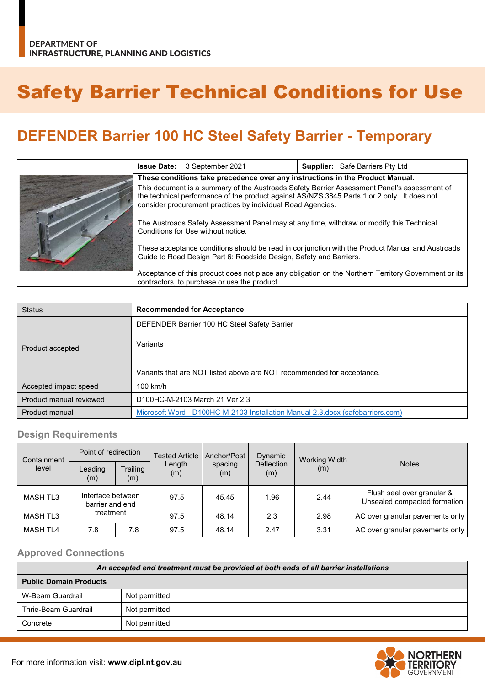# Safety Barrier Technical Conditions for Use

## **DEFENDER Barrier 100 HC Steel Safety Barrier - Temporary**

|  | <b>Issue Date:</b> 3 September 2021                                                                                                                                                                                                                       | <b>Supplier:</b> Safe Barriers Pty Ltd |  |  |
|--|-----------------------------------------------------------------------------------------------------------------------------------------------------------------------------------------------------------------------------------------------------------|----------------------------------------|--|--|
|  | These conditions take precedence over any instructions in the Product Manual.                                                                                                                                                                             |                                        |  |  |
|  | This document is a summary of the Austroads Safety Barrier Assessment Panel's assessment of<br>the technical performance of the product against AS/NZS 3845 Parts 1 or 2 only. It does not<br>consider procurement practices by individual Road Agencies. |                                        |  |  |
|  | The Austroads Safety Assessment Panel may at any time, withdraw or modify this Technical<br>Conditions for Use without notice.                                                                                                                            |                                        |  |  |
|  | These acceptance conditions should be read in conjunction with the Product Manual and Austroads<br>Guide to Road Design Part 6: Roadside Design, Safety and Barriers.                                                                                     |                                        |  |  |
|  | Acceptance of this product does not place any obligation on the Northern Territory Government or its<br>contractors, to purchase or use the product.                                                                                                      |                                        |  |  |

| <b>Status</b>           | <b>Recommended for Acceptance</b>                                                  |  |  |
|-------------------------|------------------------------------------------------------------------------------|--|--|
|                         | DEFENDER Barrier 100 HC Steel Safety Barrier                                       |  |  |
| Product accepted        | Variants<br>Variants that are NOT listed above are NOT recommended for acceptance. |  |  |
|                         |                                                                                    |  |  |
| Accepted impact speed   | $100$ km/h                                                                         |  |  |
| Product manual reviewed | D100HC-M-2103 March 21 Ver 2.3                                                     |  |  |
| Product manual          | Microsoft Word - D100HC-M-2103 Installation Manual 2.3.docx (safebarriers.com)     |  |  |

#### **Design Requirements**

| Containment<br>level | Point of redirection                              |                 | Tested Article | Anchor/Post    | Dynamic                  | Working Width |                                                            |
|----------------------|---------------------------------------------------|-----------------|----------------|----------------|--------------------------|---------------|------------------------------------------------------------|
|                      | Leading<br>(m)                                    | Trailing<br>(m) | Length<br>(m)  | spacing<br>(m) | <b>Deflection</b><br>(m) | (m)           | <b>Notes</b>                                               |
| <b>MASH TL3</b>      | Interface between<br>barrier and end<br>treatment |                 | 97.5           | 45.45          | 1.96                     | 2.44          | Flush seal over granular &<br>Unsealed compacted formation |
| <b>MASH TL3</b>      |                                                   |                 | 97.5           | 48.14          | 2.3                      | 2.98          | AC over granular pavements only                            |
| <b>MASH TL4</b>      | 7.8                                               | 7.8             | 97.5           | 48.14          | 2.47                     | 3.31          | AC over granular pavements only                            |

#### **Approved Connections**

| An accepted end treatment must be provided at both ends of all barrier installations |               |  |  |
|--------------------------------------------------------------------------------------|---------------|--|--|
| <b>Public Domain Products</b>                                                        |               |  |  |
| W-Beam Guardrail                                                                     | Not permitted |  |  |
| Thrie-Beam Guardrail                                                                 | Not permitted |  |  |
| Concrete                                                                             | Not permitted |  |  |

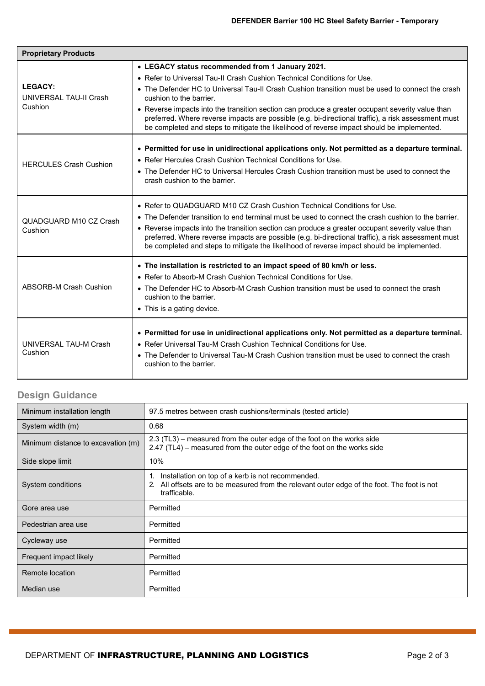| <b>Proprietary Products</b>                                |                                                                                                                                                                                                                                                                                                       |  |  |  |
|------------------------------------------------------------|-------------------------------------------------------------------------------------------------------------------------------------------------------------------------------------------------------------------------------------------------------------------------------------------------------|--|--|--|
| <b>LEGACY:</b><br><b>UNIVERSAL TAU-II Crash</b><br>Cushion | • LEGACY status recommended from 1 January 2021.                                                                                                                                                                                                                                                      |  |  |  |
|                                                            | • Refer to Universal Tau-II Crash Cushion Technical Conditions for Use.                                                                                                                                                                                                                               |  |  |  |
|                                                            | • The Defender HC to Universal Tau-II Crash Cushion transition must be used to connect the crash<br>cushion to the barrier.                                                                                                                                                                           |  |  |  |
|                                                            | • Reverse impacts into the transition section can produce a greater occupant severity value than<br>preferred. Where reverse impacts are possible (e.g. bi-directional traffic), a risk assessment must<br>be completed and steps to mitigate the likelihood of reverse impact should be implemented. |  |  |  |
|                                                            | • Permitted for use in unidirectional applications only. Not permitted as a departure terminal.                                                                                                                                                                                                       |  |  |  |
| <b>HERCULES Crash Cushion</b>                              | • Refer Hercules Crash Cushion Technical Conditions for Use.                                                                                                                                                                                                                                          |  |  |  |
|                                                            | • The Defender HC to Universal Hercules Crash Cushion transition must be used to connect the<br>crash cushion to the barrier.                                                                                                                                                                         |  |  |  |
|                                                            | • Refer to QUADGUARD M10 CZ Crash Cushion Technical Conditions for Use.                                                                                                                                                                                                                               |  |  |  |
| QUADGUARD M10 CZ Crash                                     | • The Defender transition to end terminal must be used to connect the crash cushion to the barrier.                                                                                                                                                                                                   |  |  |  |
| Cushion                                                    | • Reverse impacts into the transition section can produce a greater occupant severity value than<br>preferred. Where reverse impacts are possible (e.g. bi-directional traffic), a risk assessment must<br>be completed and steps to mitigate the likelihood of reverse impact should be implemented. |  |  |  |
|                                                            | • The installation is restricted to an impact speed of 80 km/h or less.                                                                                                                                                                                                                               |  |  |  |
|                                                            | • Refer to Absorb-M Crash Cushion Technical Conditions for Use.                                                                                                                                                                                                                                       |  |  |  |
| <b>ABSORB-M Crash Cushion</b>                              | • The Defender HC to Absorb-M Crash Cushion transition must be used to connect the crash<br>cushion to the barrier.                                                                                                                                                                                   |  |  |  |
|                                                            | • This is a gating device.                                                                                                                                                                                                                                                                            |  |  |  |
| UNIVERSAL TAU-M Crash<br>Cushion                           | • Permitted for use in unidirectional applications only. Not permitted as a departure terminal.<br>• Refer Universal Tau-M Crash Cushion Technical Conditions for Use.                                                                                                                                |  |  |  |
|                                                            | • The Defender to Universal Tau-M Crash Cushion transition must be used to connect the crash<br>cushion to the barrier.                                                                                                                                                                               |  |  |  |

### **Design Guidance**

| Minimum installation length        | 97.5 metres between crash cushions/terminals (tested article)                                                                                                             |
|------------------------------------|---------------------------------------------------------------------------------------------------------------------------------------------------------------------------|
| System width (m)                   | 0.68                                                                                                                                                                      |
| Minimum distance to excavation (m) | 2.3 (TL3) – measured from the outer edge of the foot on the works side<br>2.47 (TL4) – measured from the outer edge of the foot on the works side                         |
| Side slope limit                   | 10%                                                                                                                                                                       |
| System conditions                  | Installation on top of a kerb is not recommended.<br>1.<br>All offsets are to be measured from the relevant outer edge of the foot. The foot is not<br>2.<br>trafficable. |
| Gore area use                      | Permitted                                                                                                                                                                 |
| Pedestrian area use                | Permitted                                                                                                                                                                 |
| Cycleway use                       | Permitted                                                                                                                                                                 |
| Frequent impact likely             | Permitted                                                                                                                                                                 |
| Remote location                    | Permitted                                                                                                                                                                 |
| Median use                         | Permitted                                                                                                                                                                 |